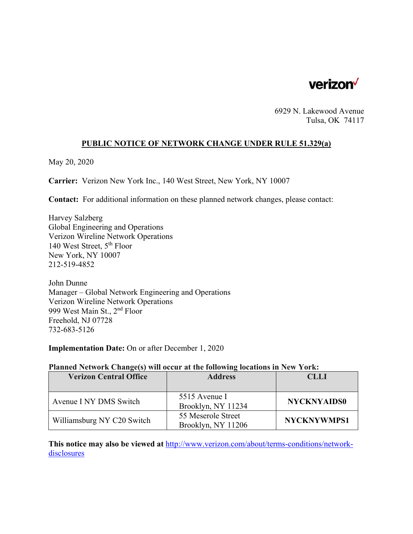

6929 N. Lakewood Avenue Tulsa, OK 74117

#### **PUBLIC NOTICE OF NETWORK CHANGE UNDER RULE 51.329(a)**

May 20, 2020

**Carrier:** Verizon New York Inc., 140 West Street, New York, NY 10007

**Contact:** For additional information on these planned network changes, please contact:

Harvey Salzberg Global Engineering and Operations Verizon Wireline Network Operations 140 West Street, 5th Floor New York, NY 10007 212-519-4852

John Dunne Manager – Global Network Engineering and Operations Verizon Wireline Network Operations 999 West Main St., 2nd Floor Freehold, NJ 07728 732-683-5126

**Implementation Date:** On or after December 1, 2020

#### **Planned Network Change(s) will occur at the following locations in New York:**

| <b>Verizon Central Office</b> | <b>Address</b>                           | <b>CLLI</b>        |
|-------------------------------|------------------------------------------|--------------------|
|                               |                                          |                    |
| Avenue I NY DMS Switch        | 5515 Avenue I<br>Brooklyn, NY 11234      | <b>NYCKNYAIDS0</b> |
| Williamsburg NY C20 Switch    | 55 Meserole Street<br>Brooklyn, NY 11206 | <b>NYCKNYWMPS1</b> |

**This notice may also be viewed at** http://www.verizon.com/about/terms-conditions/networkdisclosures